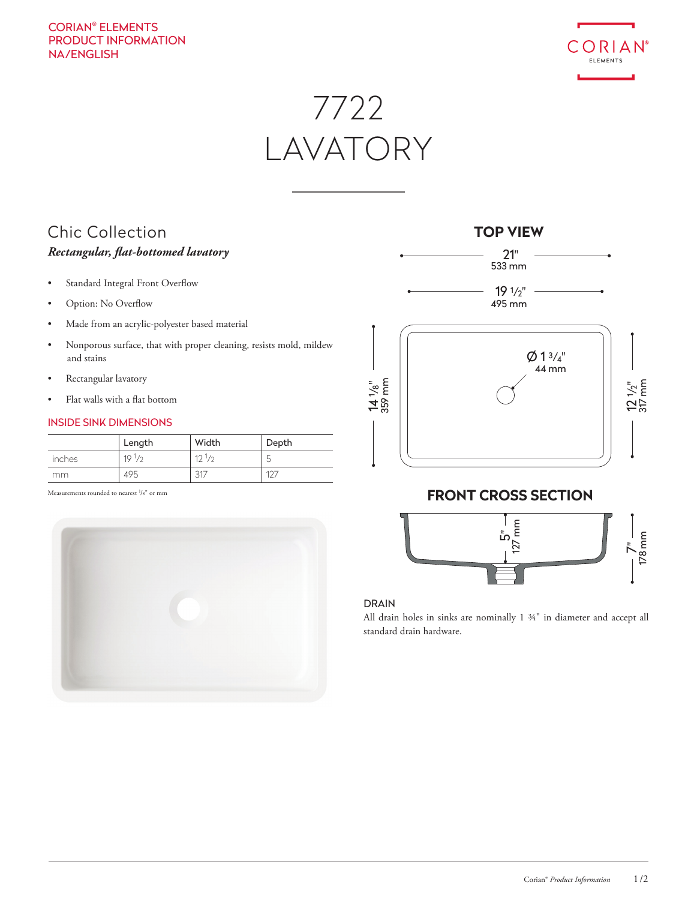# CORIAN® ELEMENTS PRODUCT INFORMATION NA/ENGLISH



7722 LAVATORY

# Chic Collection *Rectangular, flat-bottomed lavatory*

- Standard Integral Front Overflow
- Option: No Overflow
- Made from an acrylic-polyester based material
- Nonporous surface, that with proper cleaning, resists mold, mildew and stains
- Rectangular lavatory
- Flat walls with a flat bottom

## INSIDE SINK DIMENSIONS

|        | Length     | Width      | Depth  |
|--------|------------|------------|--------|
| inches | $19^{1/2}$ | $12^{1/2}$ | ∽<br>◡ |
| mm.    | 495        | 317        | $10^-$ |

Measurements rounded to nearest <sup>1</sup>/8" or mm





# **FRONT CROSS SECTION**



## DRAIN

All drain holes in sinks are nominally 1 ¾" in diameter and accept all standard drain hardware.